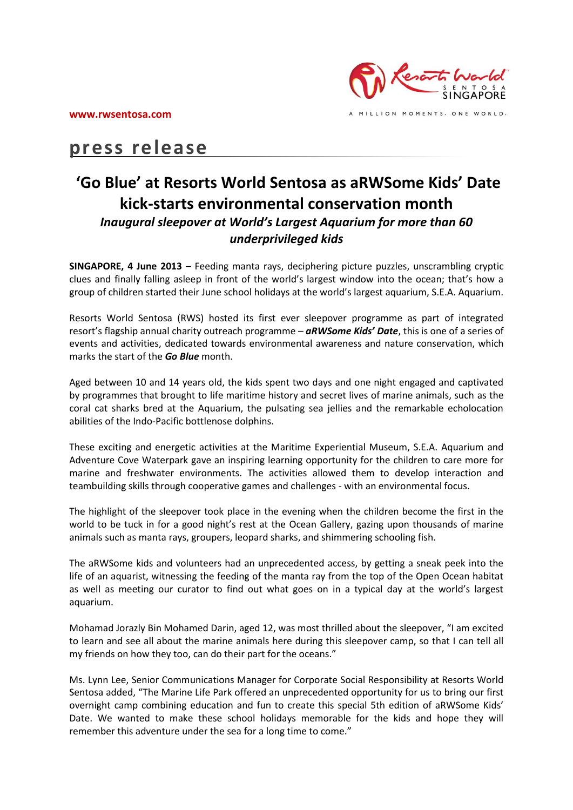

# **press release**

## **'Go Blue' at Resorts World Sentosa as aRWSome Kids' Date kick-starts environmental conservation month** *Inaugural sleepover at World's Largest Aquarium for more than 60 underprivileged kids*

**SINGAPORE, 4 June 2013** – Feeding manta rays, deciphering picture puzzles, unscrambling cryptic clues and finally falling asleep in front of the world's largest window into the ocean; that's how a group of children started their June school holidays at the world's largest aquarium, S.E.A. Aquarium.

Resorts World Sentosa (RWS) hosted its first ever sleepover programme as part of integrated resort's flagship annual charity outreach programme – *aRWSome Kids' Date*, this is one of a series of events and activities, dedicated towards environmental awareness and nature conservation, which marks the start of the *Go Blue* month.

Aged between 10 and 14 years old, the kids spent two days and one night engaged and captivated by programmes that brought to life maritime history and secret lives of marine animals, such as the coral cat sharks bred at the Aquarium, the pulsating sea jellies and the remarkable echolocation abilities of the Indo-Pacific bottlenose dolphins.

These exciting and energetic activities at the Maritime Experiential Museum, S.E.A. Aquarium and Adventure Cove Waterpark gave an inspiring learning opportunity for the children to care more for marine and freshwater environments. The activities allowed them to develop interaction and teambuilding skills through cooperative games and challenges - with an environmental focus.

The highlight of the sleepover took place in the evening when the children become the first in the world to be tuck in for a good night's rest at the Ocean Gallery, gazing upon thousands of marine animals such as manta rays, groupers, leopard sharks, and shimmering schooling fish.

The aRWSome kids and volunteers had an unprecedented access, by getting a sneak peek into the life of an aquarist, witnessing the feeding of the manta ray from the top of the Open Ocean habitat as well as meeting our curator to find out what goes on in a typical day at the world's largest aquarium.

Mohamad Jorazly Bin Mohamed Darin, aged 12, was most thrilled about the sleepover, "I am excited to learn and see all about the marine animals here during this sleepover camp, so that I can tell all my friends on how they too, can do their part for the oceans."

Ms. Lynn Lee, Senior Communications Manager for Corporate Social Responsibility at Resorts World Sentosa added, "The Marine Life Park offered an unprecedented opportunity for us to bring our first overnight camp combining education and fun to create this special 5th edition of aRWSome Kids' Date. We wanted to make these school holidays memorable for the kids and hope they will remember this adventure under the sea for a long time to come."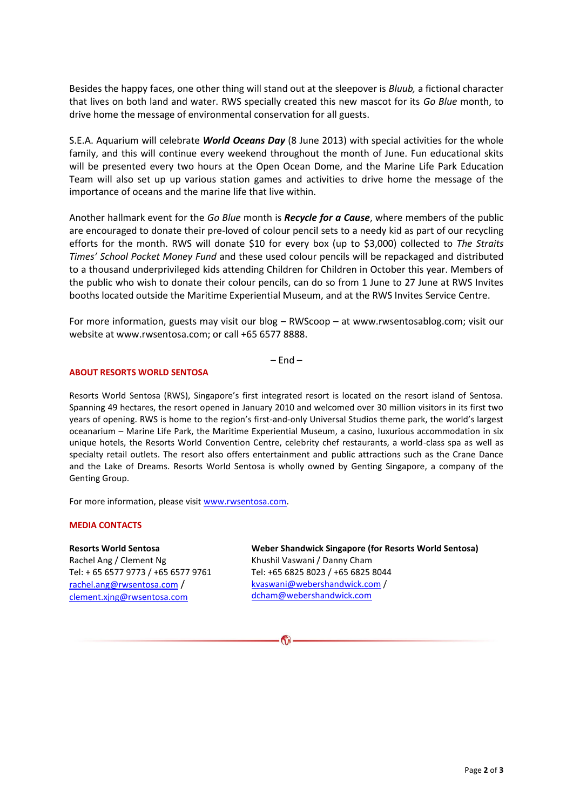Besides the happy faces, one other thing will stand out at the sleepover is *Bluub,* a fictional character that lives on both land and water. RWS specially created this new mascot for its *Go Blue* month, to drive home the message of environmental conservation for all guests.

S.E.A. Aquarium will celebrate *World Oceans Day* (8 June 2013) with special activities for the whole family, and this will continue every weekend throughout the month of June. Fun educational skits will be presented every two hours at the Open Ocean Dome, and the Marine Life Park Education Team will also set up up various station games and activities to drive home the message of the importance of oceans and the marine life that live within.

Another hallmark event for the *Go Blue* month is *Recycle for a Cause*, where members of the public are encouraged to donate their pre-loved of colour pencil sets to a needy kid as part of our recycling efforts for the month. RWS will donate \$10 for every box (up to \$3,000) collected to *The Straits Times' School Pocket Money Fund* and these used colour pencils will be repackaged and distributed to a thousand underprivileged kids attending Children for Children in October this year. Members of the public who wish to donate their colour pencils, can do so from 1 June to 27 June at RWS Invites booths located outside the Maritime Experiential Museum, and at the RWS Invites Service Centre.

For more information, guests may visit our blog – RWScoop – at www.rwsentosablog.com; visit our website at www.rwsentosa.com; or call +65 6577 8888.

 $-$  Fnd  $-$ 

### **ABOUT RESORTS WORLD SENTOSA**

Resorts World Sentosa (RWS), Singapore's first integrated resort is located on the resort island of Sentosa. Spanning 49 hectares, the resort opened in January 2010 and welcomed over 30 million visitors in its first two years of opening. RWS is home to the region's first-and-only Universal Studios theme park, the world's largest oceanarium – Marine Life Park, the Maritime Experiential Museum, a casino, luxurious accommodation in six unique hotels, the Resorts World Convention Centre, celebrity chef restaurants, a world-class spa as well as specialty retail outlets. The resort also offers entertainment and public attractions such as the Crane Dance and the Lake of Dreams. Resorts World Sentosa is wholly owned by Genting Singapore, a company of the Genting Group.

For more information, please visit [www.rwsentosa.com.](http://www.rwsentosa.com/)

#### **MEDIA CONTACTS**

#### **Resorts World Sentosa**

Rachel Ang / Clement Ng Tel: + 65 6577 9773 / +65 6577 9761 [rachel.ang@rwsentosa.com](mailto:rachel.ang@rwsentosa.com) / [clement.xjng@rwsentosa.com](mailto:clement.xjng@rwsentosa.com)

**Weber Shandwick Singapore (for Resorts World Sentosa)**  Khushil Vaswani / Danny Cham Tel: +65 6825 8023 / +65 6825 8044 [kvaswani@webershandwick.com](mailto:kvaswani@webershandwick.com) / [dcham@webershandwick.com](mailto:dcham@webershandwick.com)

RN.